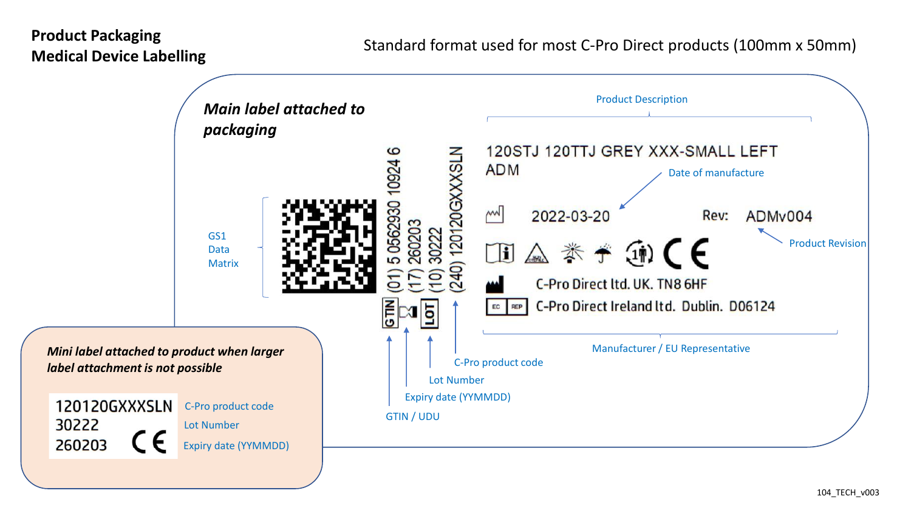# **Product Packaging Medical Device Labelling**

30222

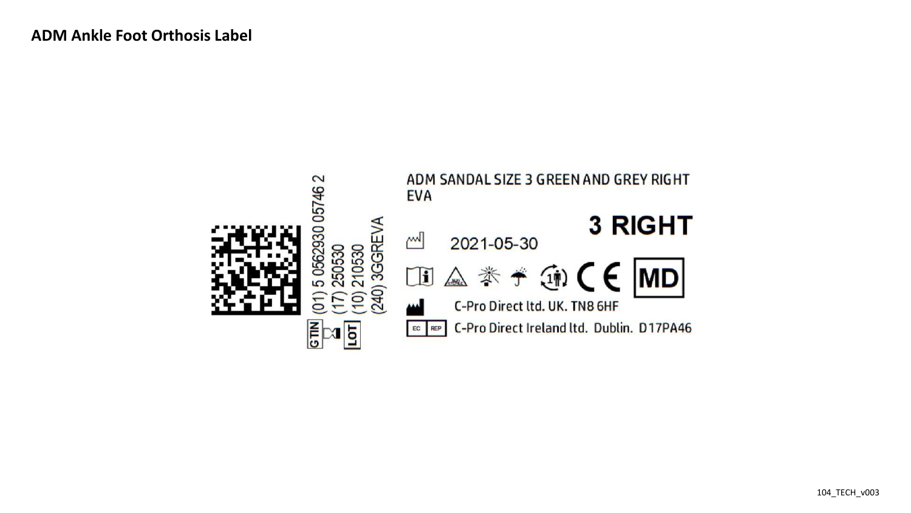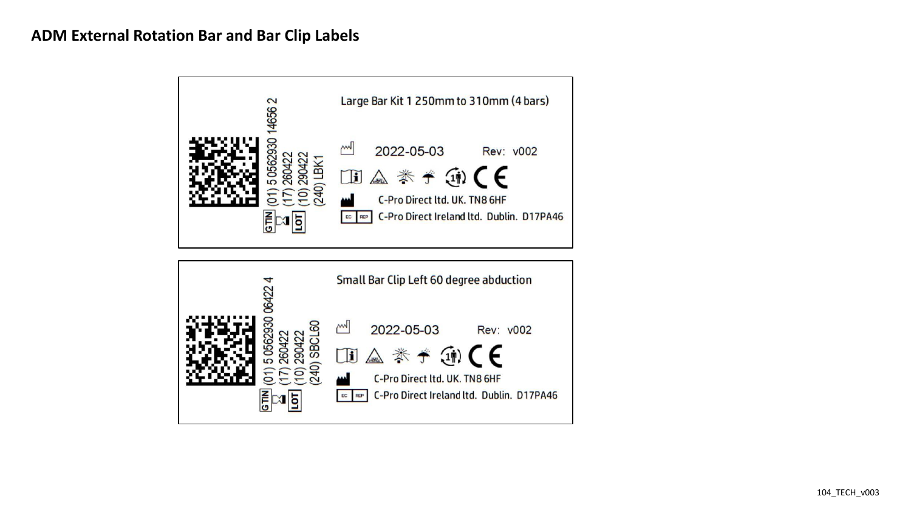## **ADM External Rotation Bar and Bar Clip Labels**

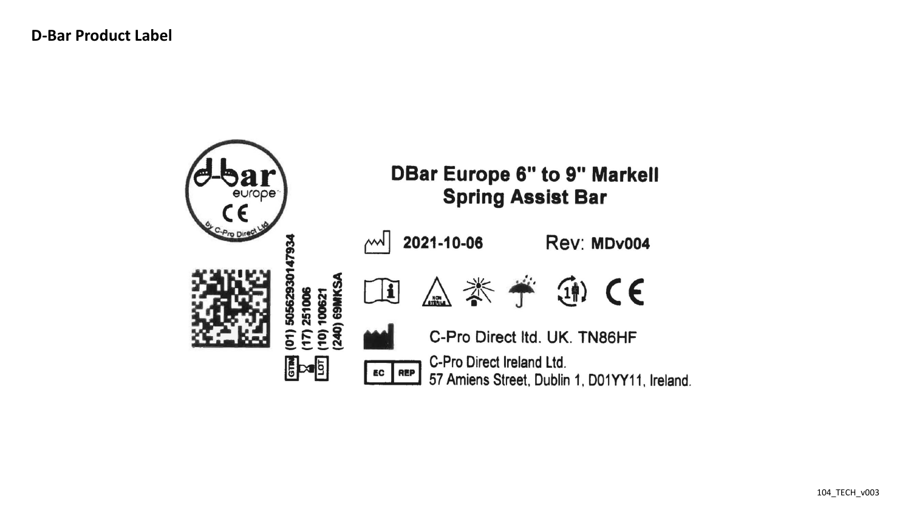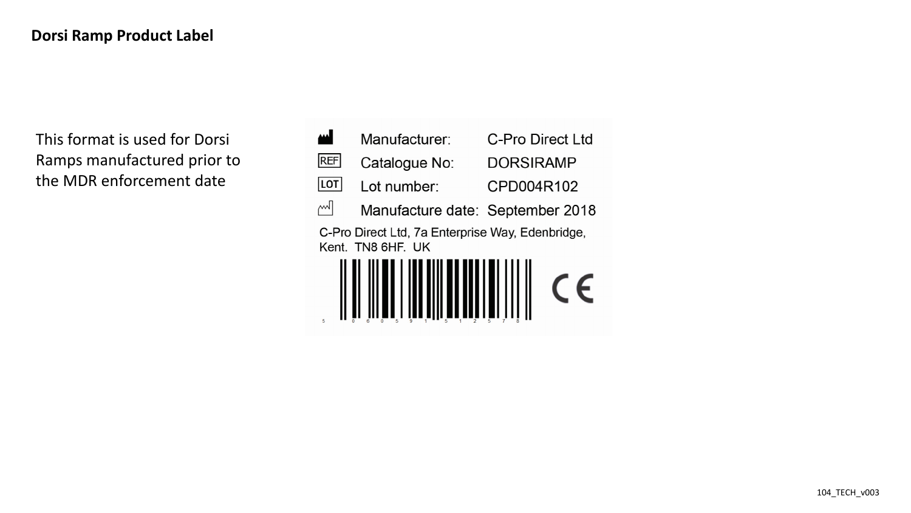This format is used for Dorsi Ramps manufactured prior to the MDR enforcement date

| Manufacturer:                                                         | C-Pro Direct Ltd |
|-----------------------------------------------------------------------|------------------|
| Catalogue No:                                                         | <b>DORSIRAMP</b> |
| Lot number:                                                           | CPD004R102       |
| Manufacture date: September 2018                                      |                  |
| C-Pro Direct Ltd, 7a Enterprise Way, Edenbridge,<br>Kent. TN8 6HF. UK |                  |
|                                                                       |                  |
|                                                                       |                  |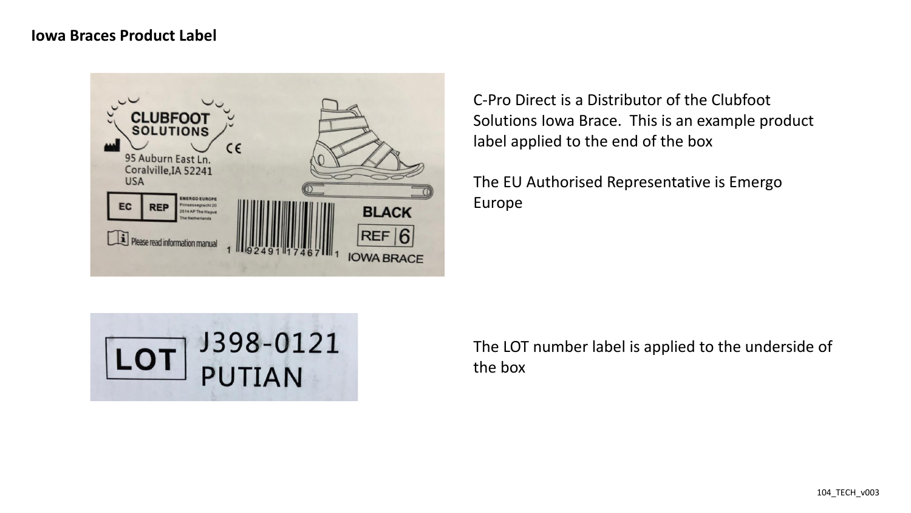#### **Iowa Braces Product Label**



C-Pro Direct is a Distributor of the Clubfoot Solutions Iowa Brace. This is an example product label applied to the end of the box

The EU Authorised Representative is Emergo Europe



The LOT number label is applied to the underside of the box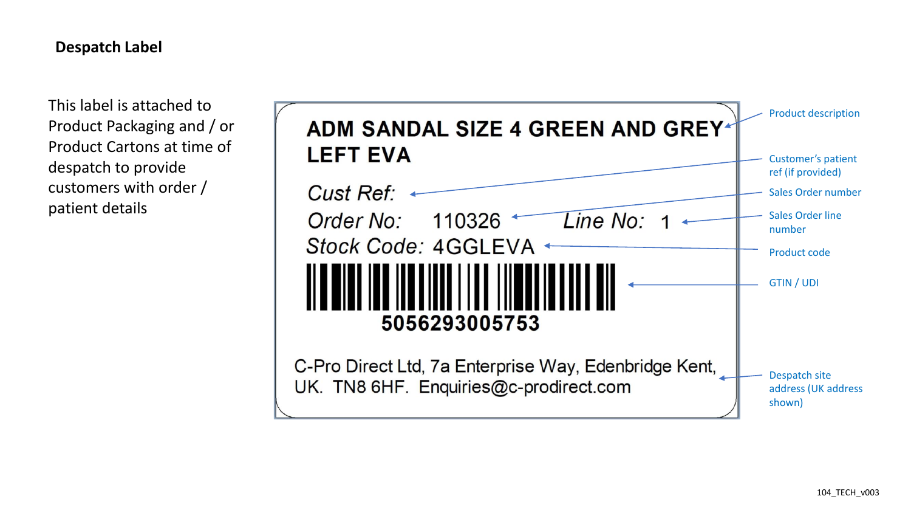### **Despatch Label**

This label is attached to Product Packaging and / or Product Cartons at time of despatch to provide customers with order / patient details

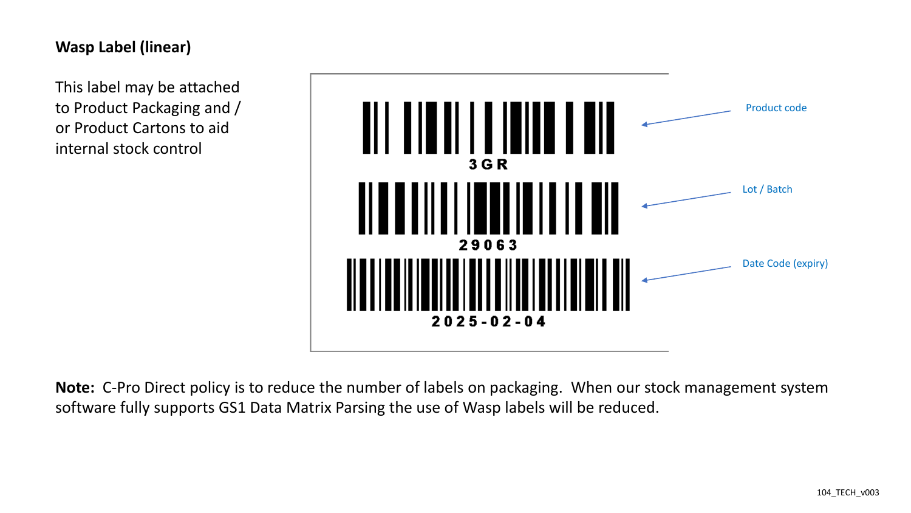# **Wasp Label (linear)**

This label may be attached to Product Packaging and / or Product Cartons to aid internal stock control



**Note:** C-Pro Direct policy is to reduce the number of labels on packaging. When our stock management system software fully supports GS1 Data Matrix Parsing the use of Wasp labels will be reduced.